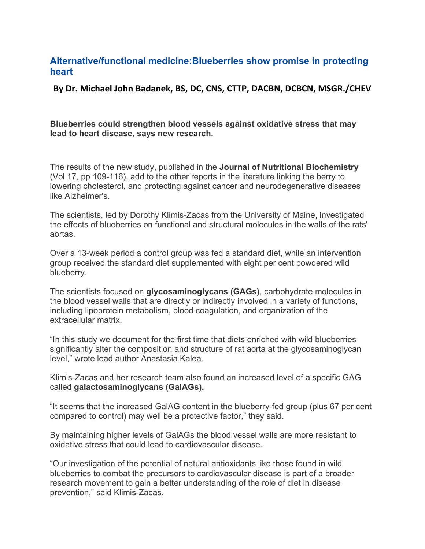## **Alternative/functional medicine:Blueberries show promise in protecting heart**

**By Dr. Michael John Badanek, BS, DC, CNS, CTTP, DACBN, DCBCN, MSGR./CHEV** 

## **Blueberries could strengthen blood vessels against oxidative stress that may lead to heart disease, says new research.**

The results of the new study, published in the **Journal of Nutritional Biochemistry** (Vol 17, pp 109-116), add to the other reports in the literature linking the berry to lowering cholesterol, and protecting against cancer and neurodegenerative diseases like Alzheimer's.

The scientists, led by Dorothy Klimis-Zacas from the University of Maine, investigated the effects of blueberries on functional and structural molecules in the walls of the rats' aortas.

Over a 13-week period a control group was fed a standard diet, while an intervention group received the standard diet supplemented with eight per cent powdered wild blueberry.

The scientists focused on **glycosaminoglycans (GAGs)**, carbohydrate molecules in the blood vessel walls that are directly or indirectly involved in a variety of functions, including lipoprotein metabolism, blood coagulation, and organization of the extracellular matrix.

"In this study we document for the first time that diets enriched with wild blueberries significantly alter the composition and structure of rat aorta at the glycosaminoglycan level," wrote lead author Anastasia Kalea.

Klimis-Zacas and her research team also found an increased level of a specific GAG called **galactosaminoglycans (GalAGs).**

"It seems that the increased GalAG content in the blueberry-fed group (plus 67 per cent compared to control) may well be a protective factor," they said.

By maintaining higher levels of GalAGs the blood vessel walls are more resistant to oxidative stress that could lead to cardiovascular disease.

"Our investigation of the potential of natural antioxidants like those found in wild blueberries to combat the precursors to cardiovascular disease is part of a broader research movement to gain a better understanding of the role of diet in disease prevention," said Klimis-Zacas.